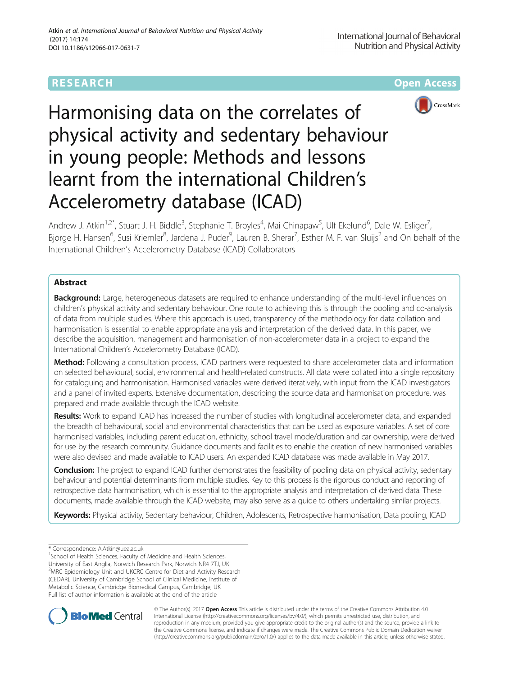# **RESEARCH CHE Open Access**



# Harmonising data on the correlates of physical activity and sedentary behaviour in young people: Methods and lessons learnt from the international Children's Accelerometry database (ICAD)

Andrew J. Atkin<sup>1,2\*</sup>, Stuart J. H. Biddle<sup>3</sup>, Stephanie T. Broyles<sup>4</sup>, Mai Chinapaw<sup>5</sup>, Ulf Ekelund<sup>6</sup>, Dale W. Esliger<sup>7</sup> , Bjorge H. Hansen<sup>6</sup>, Susi Kriemler<sup>8</sup>, Jardena J. Puder<sup>9</sup>, Lauren B. Sherar<sup>7</sup>, Esther M. F. van Sluijs<sup>2</sup> and On behalf of the International Children's Accelerometry Database (ICAD) Collaborators

# Abstract

Background: Large, heterogeneous datasets are required to enhance understanding of the multi-level influences on children's physical activity and sedentary behaviour. One route to achieving this is through the pooling and co-analysis of data from multiple studies. Where this approach is used, transparency of the methodology for data collation and harmonisation is essential to enable appropriate analysis and interpretation of the derived data. In this paper, we describe the acquisition, management and harmonisation of non-accelerometer data in a project to expand the International Children's Accelerometry Database (ICAD).

**Method:** Following a consultation process, ICAD partners were requested to share accelerometer data and information on selected behavioural, social, environmental and health-related constructs. All data were collated into a single repository for cataloguing and harmonisation. Harmonised variables were derived iteratively, with input from the ICAD investigators and a panel of invited experts. Extensive documentation, describing the source data and harmonisation procedure, was prepared and made available through the ICAD website.

Results: Work to expand ICAD has increased the number of studies with longitudinal accelerometer data, and expanded the breadth of behavioural, social and environmental characteristics that can be used as exposure variables. A set of core harmonised variables, including parent education, ethnicity, school travel mode/duration and car ownership, were derived for use by the research community. Guidance documents and facilities to enable the creation of new harmonised variables were also devised and made available to ICAD users. An expanded ICAD database was made available in May 2017.

Conclusion: The project to expand ICAD further demonstrates the feasibility of pooling data on physical activity, sedentary behaviour and potential determinants from multiple studies. Key to this process is the rigorous conduct and reporting of retrospective data harmonisation, which is essential to the appropriate analysis and interpretation of derived data. These documents, made available through the ICAD website, may also serve as a guide to others undertaking similar projects.

Keywords: Physical activity, Sedentary behaviour, Children, Adolescents, Retrospective harmonisation, Data pooling, ICAD

<sup>&</sup>lt;sup>1</sup>School of Health Sciences, Faculty of Medicine and Health Sciences, University of East Anglia, Norwich Research Park, Norwich NR4 7TJ, UK <sup>2</sup>MRC Epidemiology Unit and UKCRC Centre for Diet and Activity Research (CEDAR), University of Cambridge School of Clinical Medicine, Institute of Metabolic Science, Cambridge Biomedical Campus, Cambridge, UK Full list of author information is available at the end of the article



© The Author(s). 2017 **Open Access** This article is distributed under the terms of the Creative Commons Attribution 4.0 International License [\(http://creativecommons.org/licenses/by/4.0/](http://creativecommons.org/licenses/by/4.0/)), which permits unrestricted use, distribution, and reproduction in any medium, provided you give appropriate credit to the original author(s) and the source, provide a link to the Creative Commons license, and indicate if changes were made. The Creative Commons Public Domain Dedication waiver [\(http://creativecommons.org/publicdomain/zero/1.0/](http://creativecommons.org/publicdomain/zero/1.0/)) applies to the data made available in this article, unless otherwise stated.

<sup>\*</sup> Correspondence: [A.Atkin@uea.ac.uk](mailto:A.Atkin@uea.ac.uk) <sup>1</sup>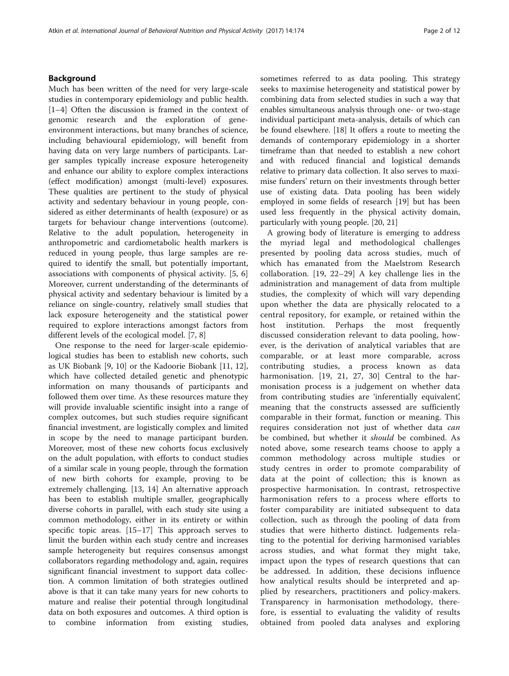# Background

Much has been written of the need for very large-scale studies in contemporary epidemiology and public health. [[1](#page-10-0)–[4\]](#page-10-0) Often the discussion is framed in the context of genomic research and the exploration of geneenvironment interactions, but many branches of science, including behavioural epidemiology, will benefit from having data on very large numbers of participants. Larger samples typically increase exposure heterogeneity and enhance our ability to explore complex interactions (effect modification) amongst (multi-level) exposures. These qualities are pertinent to the study of physical activity and sedentary behaviour in young people, considered as either determinants of health (exposure) or as targets for behaviour change interventions (outcome). Relative to the adult population, heterogeneity in anthropometric and cardiometabolic health markers is reduced in young people, thus large samples are required to identify the small, but potentially important, associations with components of physical activity. [[5](#page-10-0), [6](#page-10-0)] Moreover, current understanding of the determinants of physical activity and sedentary behaviour is limited by a reliance on single-country, relatively small studies that lack exposure heterogeneity and the statistical power required to explore interactions amongst factors from different levels of the ecological model. [\[7](#page-10-0), [8](#page-10-0)]

One response to the need for larger-scale epidemiological studies has been to establish new cohorts, such as UK Biobank [\[9](#page-10-0), [10](#page-10-0)] or the Kadoorie Biobank [\[11, 12](#page-10-0)], which have collected detailed genetic and phenotypic information on many thousands of participants and followed them over time. As these resources mature they will provide invaluable scientific insight into a range of complex outcomes, but such studies require significant financial investment, are logistically complex and limited in scope by the need to manage participant burden. Moreover, most of these new cohorts focus exclusively on the adult population, with efforts to conduct studies of a similar scale in young people, through the formation of new birth cohorts for example, proving to be extremely challenging. [[13](#page-10-0), [14](#page-10-0)] An alternative approach has been to establish multiple smaller, geographically diverse cohorts in parallel, with each study site using a common methodology, either in its entirety or within specific topic areas. [\[15](#page-10-0)–[17\]](#page-10-0) This approach serves to limit the burden within each study centre and increases sample heterogeneity but requires consensus amongst collaborators regarding methodology and, again, requires significant financial investment to support data collection. A common limitation of both strategies outlined above is that it can take many years for new cohorts to mature and realise their potential through longitudinal data on both exposures and outcomes. A third option is to combine information from existing studies,

sometimes referred to as data pooling. This strategy seeks to maximise heterogeneity and statistical power by combining data from selected studies in such a way that enables simultaneous analysis through one- or two-stage individual participant meta-analysis, details of which can be found elsewhere. [\[18](#page-10-0)] It offers a route to meeting the demands of contemporary epidemiology in a shorter timeframe than that needed to establish a new cohort and with reduced financial and logistical demands relative to primary data collection. It also serves to maximise funders' return on their investments through better use of existing data. Data pooling has been widely employed in some fields of research [\[19\]](#page-10-0) but has been used less frequently in the physical activity domain, particularly with young people. [[20, 21\]](#page-10-0)

A growing body of literature is emerging to address the myriad legal and methodological challenges presented by pooling data across studies, much of which has emanated from the Maelstrom Research collaboration. [[19, 22](#page-10-0)–[29\]](#page-11-0) A key challenge lies in the administration and management of data from multiple studies, the complexity of which will vary depending upon whether the data are physically relocated to a central repository, for example, or retained within the host institution. Perhaps the most frequently discussed consideration relevant to data pooling, however, is the derivation of analytical variables that are comparable, or at least more comparable, across contributing studies, a process known as data harmonisation. [[19, 21,](#page-10-0) [27](#page-11-0), [30](#page-11-0)] Central to the harmonisation process is a judgement on whether data from contributing studies are 'inferentially equivalent', meaning that the constructs assessed are sufficiently comparable in their format, function or meaning. This requires consideration not just of whether data *can* be combined, but whether it should be combined. As noted above, some research teams choose to apply a common methodology across multiple studies or study centres in order to promote comparability of data at the point of collection; this is known as prospective harmonisation. In contrast, retrospective harmonisation refers to a process where efforts to foster comparability are initiated subsequent to data collection, such as through the pooling of data from studies that were hitherto distinct. Judgements relating to the potential for deriving harmonised variables across studies, and what format they might take, impact upon the types of research questions that can be addressed. In addition, these decisions influence how analytical results should be interpreted and applied by researchers, practitioners and policy-makers. Transparency in harmonisation methodology, therefore, is essential to evaluating the validity of results obtained from pooled data analyses and exploring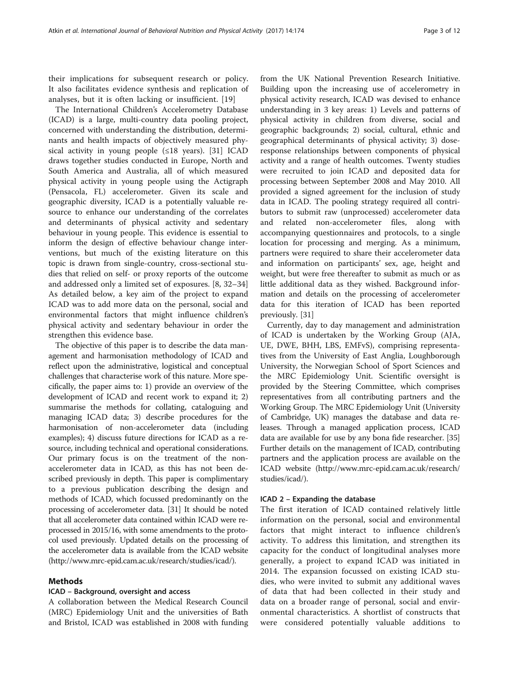their implications for subsequent research or policy. It also facilitates evidence synthesis and replication of analyses, but it is often lacking or insufficient. [\[19](#page-10-0)]

The International Children's Accelerometry Database (ICAD) is a large, multi-country data pooling project, concerned with understanding the distribution, determinants and health impacts of objectively measured physical activity in young people  $(\leq 18$  years). [\[31\]](#page-11-0) ICAD draws together studies conducted in Europe, North and South America and Australia, all of which measured physical activity in young people using the Actigraph (Pensacola, FL) accelerometer. Given its scale and geographic diversity, ICAD is a potentially valuable resource to enhance our understanding of the correlates and determinants of physical activity and sedentary behaviour in young people. This evidence is essential to inform the design of effective behaviour change interventions, but much of the existing literature on this topic is drawn from single-country, cross-sectional studies that relied on self- or proxy reports of the outcome and addressed only a limited set of exposures. [[8,](#page-10-0) [32](#page-11-0)–[34](#page-11-0)] As detailed below, a key aim of the project to expand ICAD was to add more data on the personal, social and environmental factors that might influence children's physical activity and sedentary behaviour in order the strengthen this evidence base.

The objective of this paper is to describe the data management and harmonisation methodology of ICAD and reflect upon the administrative, logistical and conceptual challenges that characterise work of this nature. More specifically, the paper aims to: 1) provide an overview of the development of ICAD and recent work to expand it; 2) summarise the methods for collating, cataloguing and managing ICAD data; 3) describe procedures for the harmonisation of non-accelerometer data (including examples); 4) discuss future directions for ICAD as a resource, including technical and operational considerations. Our primary focus is on the treatment of the nonaccelerometer data in ICAD, as this has not been described previously in depth. This paper is complimentary to a previous publication describing the design and methods of ICAD, which focussed predominantly on the processing of accelerometer data. [\[31\]](#page-11-0) It should be noted that all accelerometer data contained within ICAD were reprocessed in 2015/16, with some amendments to the protocol used previously. Updated details on the processing of the accelerometer data is available from the ICAD website (<http://www.mrc-epid.cam.ac.uk/research/studies/icad/>).

# Methods

#### ICAD – Background, oversight and access

A collaboration between the Medical Research Council (MRC) Epidemiology Unit and the universities of Bath and Bristol, ICAD was established in 2008 with funding

from the UK National Prevention Research Initiative. Building upon the increasing use of accelerometry in physical activity research, ICAD was devised to enhance understanding in 3 key areas: 1) Levels and patterns of physical activity in children from diverse, social and geographic backgrounds; 2) social, cultural, ethnic and geographical determinants of physical activity; 3) doseresponse relationships between components of physical activity and a range of health outcomes. Twenty studies were recruited to join ICAD and deposited data for processing between September 2008 and May 2010. All provided a signed agreement for the inclusion of study data in ICAD. The pooling strategy required all contributors to submit raw (unprocessed) accelerometer data and related non-accelerometer files, along with accompanying questionnaires and protocols, to a single location for processing and merging. As a minimum, partners were required to share their accelerometer data and information on participants' sex, age, height and weight, but were free thereafter to submit as much or as little additional data as they wished. Background information and details on the processing of accelerometer data for this iteration of ICAD has been reported previously. [[31](#page-11-0)]

Currently, day to day management and administration of ICAD is undertaken by the Working Group (AJA, UE, DWE, BHH, LBS, EMFvS), comprising representatives from the University of East Anglia, Loughborough University, the Norwegian School of Sport Sciences and the MRC Epidemiology Unit. Scientific oversight is provided by the Steering Committee, which comprises representatives from all contributing partners and the Working Group. The MRC Epidemiology Unit (University of Cambridge, UK) manages the database and data releases. Through a managed application process, ICAD data are available for use by any bona fide researcher. [[35](#page-11-0)] Further details on the management of ICAD, contributing partners and the application process are available on the ICAD website [\(http://www.mrc-epid.cam.ac.uk/research/](http://www.mrc-epid.cam.ac.uk/research/studies/icad/) [studies/icad/\)](http://www.mrc-epid.cam.ac.uk/research/studies/icad/).

### ICAD 2 – Expanding the database

The first iteration of ICAD contained relatively little information on the personal, social and environmental factors that might interact to influence children's activity. To address this limitation, and strengthen its capacity for the conduct of longitudinal analyses more generally, a project to expand ICAD was initiated in 2014. The expansion focussed on existing ICAD studies, who were invited to submit any additional waves of data that had been collected in their study and data on a broader range of personal, social and environmental characteristics. A shortlist of constructs that were considered potentially valuable additions to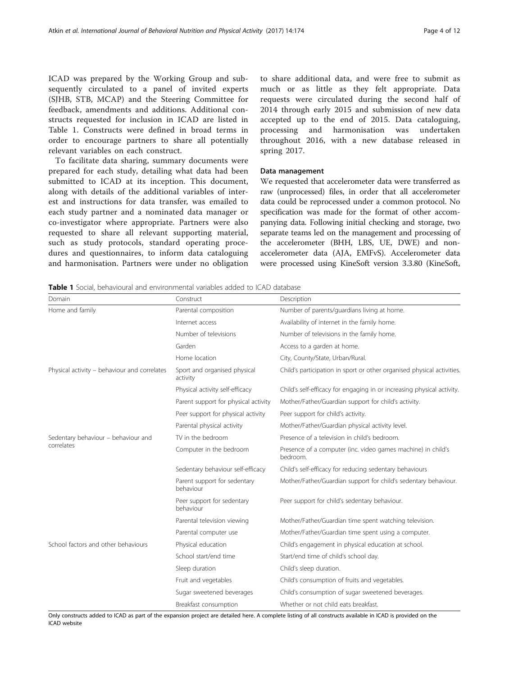ICAD was prepared by the Working Group and subsequently circulated to a panel of invited experts (SJHB, STB, MCAP) and the Steering Committee for feedback, amendments and additions. Additional constructs requested for inclusion in ICAD are listed in Table 1. Constructs were defined in broad terms in order to encourage partners to share all potentially relevant variables on each construct.

To facilitate data sharing, summary documents were prepared for each study, detailing what data had been submitted to ICAD at its inception. This document, along with details of the additional variables of interest and instructions for data transfer, was emailed to each study partner and a nominated data manager or co-investigator where appropriate. Partners were also requested to share all relevant supporting material, such as study protocols, standard operating procedures and questionnaires, to inform data cataloguing and harmonisation. Partners were under no obligation

to share additional data, and were free to submit as much or as little as they felt appropriate. Data requests were circulated during the second half of 2014 through early 2015 and submission of new data accepted up to the end of 2015. Data cataloguing, processing and harmonisation was undertaken throughout 2016, with a new database released in spring 2017.

# Data management

We requested that accelerometer data were transferred as raw (unprocessed) files, in order that all accelerometer data could be reprocessed under a common protocol. No specification was made for the format of other accompanying data. Following initial checking and storage, two separate teams led on the management and processing of the accelerometer (BHH, LBS, UE, DWE) and nonaccelerometer data (AJA, EMFvS). Accelerometer data were processed using KineSoft version 3.3.80 (KineSoft,

Table 1 Social, behavioural and environmental variables added to ICAD database

| Domain                                            | Construct                                 | Description                                                              |  |  |
|---------------------------------------------------|-------------------------------------------|--------------------------------------------------------------------------|--|--|
| Home and family                                   | Parental composition                      | Number of parents/quardians living at home.                              |  |  |
|                                                   | Internet access                           | Availability of internet in the family home.                             |  |  |
|                                                   | Number of televisions                     | Number of televisions in the family home.                                |  |  |
|                                                   | Garden                                    | Access to a garden at home.                                              |  |  |
|                                                   | Home location                             | City, County/State, Urban/Rural.                                         |  |  |
| Physical activity - behaviour and correlates      | Sport and organised physical<br>activity  | Child's participation in sport or other organised physical activities.   |  |  |
|                                                   | Physical activity self-efficacy           | Child's self-efficacy for engaging in or increasing physical activity.   |  |  |
|                                                   | Parent support for physical activity      | Mother/Father/Guardian support for child's activity.                     |  |  |
|                                                   | Peer support for physical activity        | Peer support for child's activity.                                       |  |  |
|                                                   | Parental physical activity                | Mother/Father/Guardian physical activity level.                          |  |  |
| Sedentary behaviour - behaviour and<br>correlates | TV in the bedroom                         | Presence of a television in child's bedroom.                             |  |  |
|                                                   | Computer in the bedroom                   | Presence of a computer (inc. video games machine) in child's<br>bedroom. |  |  |
|                                                   | Sedentary behaviour self-efficacy         | Child's self-efficacy for reducing sedentary behaviours                  |  |  |
|                                                   | Parent support for sedentary<br>behaviour | Mother/Father/Guardian support for child's sedentary behaviour.          |  |  |
|                                                   | Peer support for sedentary<br>behaviour   | Peer support for child's sedentary behaviour.                            |  |  |
|                                                   | Parental television viewing               | Mother/Father/Guardian time spent watching television.                   |  |  |
|                                                   | Parental computer use                     | Mother/Father/Guardian time spent using a computer.                      |  |  |
| School factors and other behaviours               | Physical education                        | Child's engagement in physical education at school.                      |  |  |
|                                                   | School start/end time                     | Start/end time of child's school day.                                    |  |  |
|                                                   | Sleep duration                            | Child's sleep duration.                                                  |  |  |
|                                                   | Fruit and vegetables                      | Child's consumption of fruits and vegetables.                            |  |  |
|                                                   | Sugar sweetened beverages                 | Child's consumption of sugar sweetened beverages.                        |  |  |
|                                                   | Breakfast consumption                     | Whether or not child eats breakfast.                                     |  |  |

Only constructs added to ICAD as part of the expansion project are detailed here. A complete listing of all constructs available in ICAD is provided on the ICAD website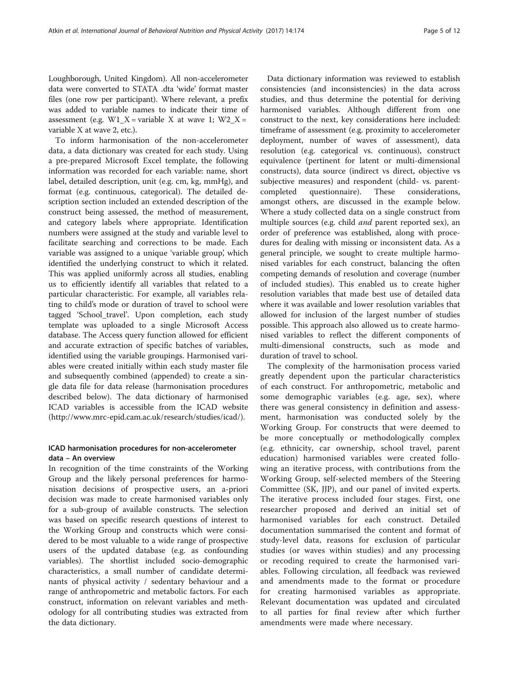Loughborough, United Kingdom). All non-accelerometer data were converted to STATA .dta 'wide' format master files (one row per participant). Where relevant, a prefix was added to variable names to indicate their time of assessment (e.g.  $W1_X =$  variable X at wave 1;  $W2_X =$ variable X at wave 2, etc.).

To inform harmonisation of the non-accelerometer data, a data dictionary was created for each study. Using a pre-prepared Microsoft Excel template, the following information was recorded for each variable: name, short label, detailed description, unit (e.g. cm, kg, mmHg), and format (e.g. continuous, categorical). The detailed description section included an extended description of the construct being assessed, the method of measurement, and category labels where appropriate. Identification numbers were assigned at the study and variable level to facilitate searching and corrections to be made. Each variable was assigned to a unique 'variable group', which identified the underlying construct to which it related. This was applied uniformly across all studies, enabling us to efficiently identify all variables that related to a particular characteristic. For example, all variables relating to child's mode or duration of travel to school were tagged 'School\_travel'. Upon completion, each study template was uploaded to a single Microsoft Access database. The Access query function allowed for efficient and accurate extraction of specific batches of variables, identified using the variable groupings. Harmonised variables were created initially within each study master file and subsequently combined (appended) to create a single data file for data release (harmonisation procedures described below). The data dictionary of harmonised ICAD variables is accessible from the ICAD website (<http://www.mrc-epid.cam.ac.uk/research/studies/icad/>).

# ICAD harmonisation procedures for non-accelerometer data – An overview

In recognition of the time constraints of the Working Group and the likely personal preferences for harmonisation decisions of prospective users, an a-priori decision was made to create harmonised variables only for a sub-group of available constructs. The selection was based on specific research questions of interest to the Working Group and constructs which were considered to be most valuable to a wide range of prospective users of the updated database (e.g. as confounding variables). The shortlist included socio-demographic characteristics, a small number of candidate determinants of physical activity / sedentary behaviour and a range of anthropometric and metabolic factors. For each construct, information on relevant variables and methodology for all contributing studies was extracted from the data dictionary.

Data dictionary information was reviewed to establish consistencies (and inconsistencies) in the data across studies, and thus determine the potential for deriving harmonised variables. Although different from one construct to the next, key considerations here included: timeframe of assessment (e.g. proximity to accelerometer deployment, number of waves of assessment), data resolution (e.g. categorical vs. continuous), construct equivalence (pertinent for latent or multi-dimensional constructs), data source (indirect vs direct, objective vs subjective measures) and respondent (child- vs. parentcompleted questionnaire). These considerations, amongst others, are discussed in the example below. Where a study collected data on a single construct from multiple sources (e.g. child *and* parent reported sex), an order of preference was established, along with procedures for dealing with missing or inconsistent data. As a general principle, we sought to create multiple harmonised variables for each construct, balancing the often competing demands of resolution and coverage (number of included studies). This enabled us to create higher resolution variables that made best use of detailed data where it was available and lower resolution variables that allowed for inclusion of the largest number of studies possible. This approach also allowed us to create harmonised variables to reflect the different components of multi-dimensional constructs, such as mode and duration of travel to school.

The complexity of the harmonisation process varied greatly dependent upon the particular characteristics of each construct. For anthropometric, metabolic and some demographic variables (e.g. age, sex), where there was general consistency in definition and assessment, harmonisation was conducted solely by the Working Group. For constructs that were deemed to be more conceptually or methodologically complex (e.g. ethnicity, car ownership, school travel, parent education) harmonised variables were created following an iterative process, with contributions from the Working Group, self-selected members of the Steering Committee (SK, JJP), and our panel of invited experts. The iterative process included four stages. First, one researcher proposed and derived an initial set of harmonised variables for each construct. Detailed documentation summarised the content and format of study-level data, reasons for exclusion of particular studies (or waves within studies) and any processing or recoding required to create the harmonised variables. Following circulation, all feedback was reviewed and amendments made to the format or procedure for creating harmonised variables as appropriate. Relevant documentation was updated and circulated to all parties for final review after which further amendments were made where necessary.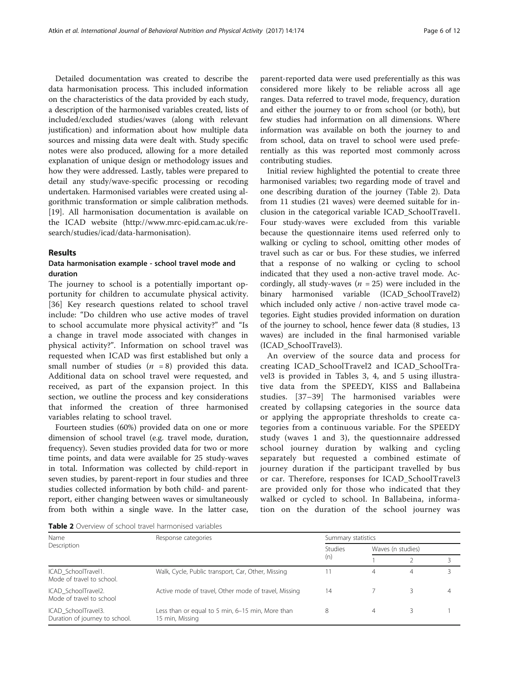Detailed documentation was created to describe the data harmonisation process. This included information on the characteristics of the data provided by each study, a description of the harmonised variables created, lists of included/excluded studies/waves (along with relevant justification) and information about how multiple data sources and missing data were dealt with. Study specific notes were also produced, allowing for a more detailed explanation of unique design or methodology issues and how they were addressed. Lastly, tables were prepared to detail any study/wave-specific processing or recoding undertaken. Harmonised variables were created using algorithmic transformation or simple calibration methods. [[19\]](#page-10-0). All harmonisation documentation is available on the ICAD website ([http://www.mrc-epid.cam.ac.uk/re](http://www.mrc-epid.cam.ac.uk/research/studies/icad/)[search/studies/icad/](http://www.mrc-epid.cam.ac.uk/research/studies/icad/)data-harmonisation).

# Results

# Data harmonisation example - school travel mode and duration

The journey to school is a potentially important opportunity for children to accumulate physical activity. [[36\]](#page-11-0) Key research questions related to school travel include: "Do children who use active modes of travel to school accumulate more physical activity?" and "Is a change in travel mode associated with changes in physical activity?". Information on school travel was requested when ICAD was first established but only a small number of studies  $(n = 8)$  provided this data. Additional data on school travel were requested, and received, as part of the expansion project. In this section, we outline the process and key considerations that informed the creation of three harmonised variables relating to school travel.

Fourteen studies (60%) provided data on one or more dimension of school travel (e.g. travel mode, duration, frequency). Seven studies provided data for two or more time points, and data were available for 25 study-waves in total. Information was collected by child-report in seven studies, by parent-report in four studies and three studies collected information by both child- and parentreport, either changing between waves or simultaneously from both within a single wave. In the latter case, parent-reported data were used preferentially as this was considered more likely to be reliable across all age ranges. Data referred to travel mode, frequency, duration and either the journey to or from school (or both), but few studies had information on all dimensions. Where information was available on both the journey to and from school, data on travel to school were used preferentially as this was reported most commonly across contributing studies.

Initial review highlighted the potential to create three harmonised variables; two regarding mode of travel and one describing duration of the journey (Table 2). Data from 11 studies (21 waves) were deemed suitable for inclusion in the categorical variable ICAD\_SchoolTravel1. Four study-waves were excluded from this variable because the questionnaire items used referred only to walking or cycling to school, omitting other modes of travel such as car or bus. For these studies, we inferred that a response of no walking or cycling to school indicated that they used a non-active travel mode. Accordingly, all study-waves ( $n = 25$ ) were included in the binary harmonised variable (ICAD\_SchoolTravel2) which included only active / non-active travel mode categories. Eight studies provided information on duration of the journey to school, hence fewer data (8 studies, 13 waves) are included in the final harmonised variable (ICAD\_SchoolTravel3).

An overview of the source data and process for creating ICAD\_SchoolTravel2 and ICAD\_SchoolTravel3 is provided in Tables [3](#page-6-0), [4](#page-6-0), and [5](#page-7-0) using illustrative data from the SPEEDY, KISS and Ballabeina studies. [[37](#page-11-0)–[39](#page-11-0)] The harmonised variables were created by collapsing categories in the source data or applying the appropriate thresholds to create categories from a continuous variable. For the SPEEDY study (waves 1 and 3), the questionnaire addressed school journey duration by walking and cycling separately but requested a combined estimate of journey duration if the participant travelled by bus or car. Therefore, responses for ICAD\_SchoolTravel3 are provided only for those who indicated that they walked or cycled to school. In Ballabeina, information on the duration of the school journey was

Table 2 Overview of school travel harmonised variables

| Name                                                  | Response categories                                                 | Summary statistics    |                   |   |  |
|-------------------------------------------------------|---------------------------------------------------------------------|-----------------------|-------------------|---|--|
| Description                                           |                                                                     | <b>Studies</b><br>(n) | Waves (n studies) |   |  |
|                                                       |                                                                     |                       |                   |   |  |
| ICAD SchoolTravel1.<br>Mode of travel to school.      | Walk, Cycle, Public transport, Car, Other, Missing                  |                       |                   | 4 |  |
| ICAD SchoolTravel2.<br>Mode of travel to school       | Active mode of travel, Other mode of travel, Missing                | 14                    |                   |   |  |
| ICAD SchoolTravel3.<br>Duration of journey to school. | Less than or equal to 5 min, 6–15 min, More than<br>15 min, Missing | 8                     |                   |   |  |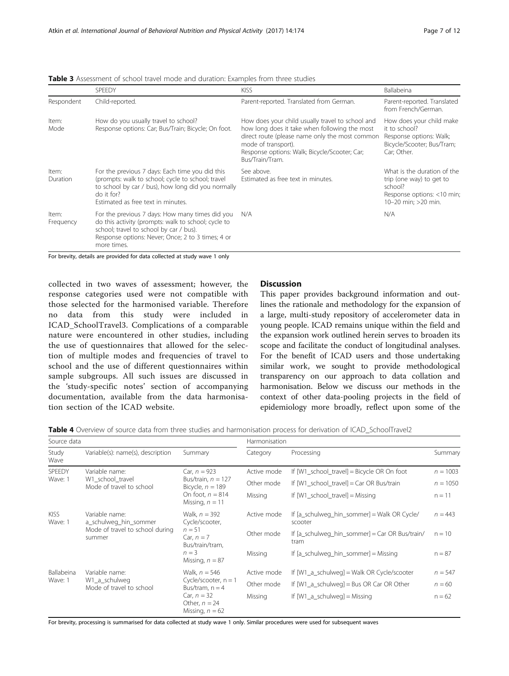|                    | <b>SPEEDY</b>                                                                                                                                                                                                        | <b>KISS</b>                                                                                                                                                                                                                                    | Ballabeina                                                                                                              |
|--------------------|----------------------------------------------------------------------------------------------------------------------------------------------------------------------------------------------------------------------|------------------------------------------------------------------------------------------------------------------------------------------------------------------------------------------------------------------------------------------------|-------------------------------------------------------------------------------------------------------------------------|
| Respondent         | Child-reported.                                                                                                                                                                                                      | Parent-reported. Translated from German.                                                                                                                                                                                                       | Parent-reported. Translated<br>from French/German.                                                                      |
| Item:<br>Mode      | How do you usually travel to school?<br>Response options: Car; Bus/Train; Bicycle; On foot.                                                                                                                          | How does your child usually travel to school and<br>how long does it take when following the most<br>direct route (please name only the most common<br>mode of transport).<br>Response options: Walk; Bicycle/Scooter; Car;<br>Bus/Train/Tram. | How does your child make<br>it to school?<br>Response options: Walk;<br>Bicycle/Scooter; Bus/Tram;<br>Car; Other.       |
| Item:<br>Duration  | For the previous 7 days: Each time you did this<br>(prompts: walk to school; cycle to school; travel<br>to school by car / bus), how long did you normally<br>do it for?<br>Estimated as free text in minutes.       | See above.<br>Estimated as free text in minutes.                                                                                                                                                                                               | What is the duration of the<br>trip (one way) to get to<br>school?<br>Response options: <10 min;<br>10-20 min; >20 min. |
| Item:<br>Frequency | For the previous 7 days: How many times did you<br>do this activity (prompts: walk to school; cycle to<br>school; travel to school by car / bus).<br>Response options: Never; Once; 2 to 3 times; 4 or<br>more times | N/A                                                                                                                                                                                                                                            | N/A                                                                                                                     |

<span id="page-6-0"></span>Table 3 Assessment of school travel mode and duration: Examples from three studies

For brevity, details are provided for data collected at study wave 1 only

collected in two waves of assessment; however, the response categories used were not compatible with those selected for the harmonised variable. Therefore no data from this study were included in ICAD\_SchoolTravel3. Complications of a comparable nature were encountered in other studies, including the use of questionnaires that allowed for the selection of multiple modes and frequencies of travel to school and the use of different questionnaires within sample subgroups. All such issues are discussed in the 'study-specific notes' section of accompanying documentation, available from the data harmonisation section of the ICAD website.

# **Discussion**

This paper provides background information and outlines the rationale and methodology for the expansion of a large, multi-study repository of accelerometer data in young people. ICAD remains unique within the field and the expansion work outlined herein serves to broaden its scope and facilitate the conduct of longitudinal analyses. For the benefit of ICAD users and those undertaking similar work, we sought to provide methodological transparency on our approach to data collation and harmonisation. Below we discuss our methods in the context of other data-pooling projects in the field of epidemiology more broadly, reflect upon some of the

Table 4 Overview of source data from three studies and harmonisation process for derivation of ICAD\_SchoolTravel2

| Source data            |                                                                                      |                                                                                                                         | Harmonisation |                                                        |            |  |
|------------------------|--------------------------------------------------------------------------------------|-------------------------------------------------------------------------------------------------------------------------|---------------|--------------------------------------------------------|------------|--|
| Study<br>Wave          | Variable(s): name(s), description                                                    | Summary                                                                                                                 | Category      | Processing                                             | Summary    |  |
| SPEEDY<br>Wave: 1      | Variable name:<br>W1 school travel<br>Mode of travel to school                       | Car, $n = 923$<br>Bus/train, $n = 127$<br>Bicycle, $n = 189$                                                            | Active mode   | If $[W1$ _school_travel] = Bicycle OR On foot          | $n = 1003$ |  |
|                        |                                                                                      |                                                                                                                         | Other mode    | If $[W1 \text{ school travel}] = Car OR Bus/train$     | $n = 1050$ |  |
|                        |                                                                                      | On foot, $n = 814$<br>Missing, $n = 11$                                                                                 | Missing       | If $[W1$ _school_travel] = Missing                     | $n = 11$   |  |
| <b>KISS</b><br>Wave: 1 | Variable name:<br>a_schulweg_hin_sommer<br>Mode of travel to school during<br>summer | Walk, $n = 392$<br>Cycle/scooter,<br>$n = 51$<br>Car, $n = 7$<br>Bus/train/tram,<br>$n = 3$<br>Missing, $n = 87$        | Active mode   | If [a_schulweg_hin_sommer] = Walk OR Cycle/<br>scooter | $n = 443$  |  |
|                        |                                                                                      |                                                                                                                         | Other mode    | If [a_schulweg_hin_sommer] = Car OR Bus/train/<br>tram | $n = 10$   |  |
|                        |                                                                                      |                                                                                                                         | Missing       | If [a_schulweg_hin_sommer] = Missing                   | $n = 87$   |  |
| Ballabeina<br>Wave: 1  | Variable name:<br>W1_a_schulweg<br>Mode of travel to school                          | Walk, $n = 546$<br>Cycle/scooter, $n = 1$<br>Bus/tram, $n = 4$<br>Car, $n = 32$<br>Other, $n = 24$<br>Missing, $n = 62$ | Active mode   | If [W1_a_schulweg] = Walk OR Cycle/scooter             | $n = 547$  |  |
|                        |                                                                                      |                                                                                                                         | Other mode    | If $[W1]$ a schulweg] = Bus OR Car OR Other            | $n = 60$   |  |
|                        |                                                                                      |                                                                                                                         | Missing       | If $[W1 a$ schulweg] = Missing                         | $n = 62$   |  |

For brevity, processing is summarised for data collected at study wave 1 only. Similar procedures were used for subsequent waves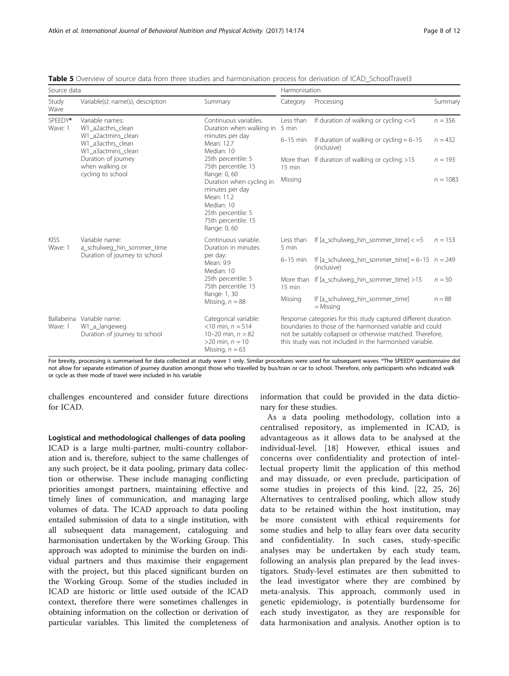| Source data            |                                                                                                                              |                                                                                                                                                                                                                                                                                                       | Harmonisation                                                                                                                                                                                                                                       |                                                                    |            |  |
|------------------------|------------------------------------------------------------------------------------------------------------------------------|-------------------------------------------------------------------------------------------------------------------------------------------------------------------------------------------------------------------------------------------------------------------------------------------------------|-----------------------------------------------------------------------------------------------------------------------------------------------------------------------------------------------------------------------------------------------------|--------------------------------------------------------------------|------------|--|
| Study<br>Wave          | Variable(s): name(s), description                                                                                            | Summary                                                                                                                                                                                                                                                                                               | Category                                                                                                                                                                                                                                            | Processing                                                         | Summary    |  |
| SPEEDY*<br>Wave: 1     | Variable names:<br>W1 a2acthrs clean                                                                                         | Continuous variables.<br>Duration when walking in<br>minutes per day<br>Mean: 12.7<br>Median: 10<br>25th percentile: 5<br>75th percentile: 15<br>Range: 0, 60<br>Duration when cycling in<br>minutes per day<br>Mean: 11.2<br>Median: 10<br>25th percentile: 5<br>75th percentile: 15<br>Range: 0, 60 | Less than<br>5 min                                                                                                                                                                                                                                  | If duration of walking or cycling $\leq$ =5                        | $n = 356$  |  |
|                        | W1 a2actmins clean<br>W1 a3acthrs clean<br>W1_a3actmins_clean<br>Duration of journey<br>when walking or<br>cycling to school |                                                                                                                                                                                                                                                                                                       | $6-15$ min                                                                                                                                                                                                                                          | If duration of walking or cycling $= 6 - 15$<br>(inclusive)        | $n = 432$  |  |
|                        |                                                                                                                              |                                                                                                                                                                                                                                                                                                       | $15 \text{ min}$                                                                                                                                                                                                                                    | More than If duration of walking or cycling $>15$                  | $n = 193$  |  |
|                        |                                                                                                                              |                                                                                                                                                                                                                                                                                                       | Missing                                                                                                                                                                                                                                             |                                                                    | $n = 1083$ |  |
| <b>KISS</b><br>Wave: 1 | Variable name:<br>a_schulweg_hin_sommer_time<br>Duration of journey to school                                                | Continuous variable.<br>Duration in minutes<br>per day:<br>Mean: 9.9<br>Median: 10<br>25th percentile: 5<br>75th percentile: 15<br>Range: 1, 30<br>Missing, $n = 88$                                                                                                                                  | Less than<br>5 min                                                                                                                                                                                                                                  | If $[a_s$ chulweg_hin_sommer_time] < $=$ 5                         | $n = 153$  |  |
|                        |                                                                                                                              |                                                                                                                                                                                                                                                                                                       | $6-15$ min                                                                                                                                                                                                                                          | If $[a_s$ chulweg_hin_sommer_time] = 6-15 $n = 249$<br>(inclusive) |            |  |
|                        |                                                                                                                              |                                                                                                                                                                                                                                                                                                       | $15 \text{ min}$                                                                                                                                                                                                                                    | More than If [a_schulweg_hin_sommer_time] >15                      | $n = 50$   |  |
|                        |                                                                                                                              |                                                                                                                                                                                                                                                                                                       | Missing                                                                                                                                                                                                                                             | If [a_schulweg_hin_sommer_time]<br>$=$ Missing                     | $n = 88$   |  |
| Ballabeina<br>Wave: 1  | Variable name:<br>W1_a_langeweg<br>Duration of journey to school                                                             | Categorical variable:<br><10 min, $n = 514$<br>10-20 min, $n = 82$<br>$>20$ min, $n = 10$<br>Missing, $n = 63$                                                                                                                                                                                        | Response categories for this study captured different duration<br>boundaries to those of the harmonised variable and could<br>not be suitably collapsed or otherwise matched. Therefore,<br>this study was not included in the harmonised variable. |                                                                    |            |  |

<span id="page-7-0"></span>Table 5 Overview of source data from three studies and harmonisation process for derivation of ICAD\_SchoolTravel3

For brevity, processing is summarised for data collected at study wave 1 only. Similar procedures were used for subsequent waves. \*The SPEEDY questionnaire did not allow for separate estimation of journey duration amongst those who travelled by bus/train or car to school. Therefore, only participants who indicated walk or cycle as their mode of travel were included in his variable

challenges encountered and consider future directions for ICAD.

Logistical and methodological challenges of data pooling ICAD is a large multi-partner, multi-country collaboration and is, therefore, subject to the same challenges of any such project, be it data pooling, primary data collection or otherwise. These include managing conflicting priorities amongst partners, maintaining effective and timely lines of communication, and managing large volumes of data. The ICAD approach to data pooling entailed submission of data to a single institution, with all subsequent data management, cataloguing and harmonisation undertaken by the Working Group. This approach was adopted to minimise the burden on individual partners and thus maximise their engagement with the project, but this placed significant burden on the Working Group. Some of the studies included in ICAD are historic or little used outside of the ICAD context, therefore there were sometimes challenges in obtaining information on the collection or derivation of particular variables. This limited the completeness of information that could be provided in the data dictionary for these studies.

As a data pooling methodology, collation into a centralised repository, as implemented in ICAD, is advantageous as it allows data to be analysed at the individual-level. [\[18](#page-10-0)] However, ethical issues and concerns over confidentiality and protection of intellectual property limit the application of this method and may dissuade, or even preclude, participation of some studies in projects of this kind. [\[22](#page-10-0), [25, 26](#page-11-0)] Alternatives to centralised pooling, which allow study data to be retained within the host institution, may be more consistent with ethical requirements for some studies and help to allay fears over data security and confidentiality. In such cases, study-specific analyses may be undertaken by each study team, following an analysis plan prepared by the lead investigators. Study-level estimates are then submitted to the lead investigator where they are combined by meta-analysis. This approach, commonly used in genetic epidemiology, is potentially burdensome for each study investigator, as they are responsible for data harmonisation and analysis. Another option is to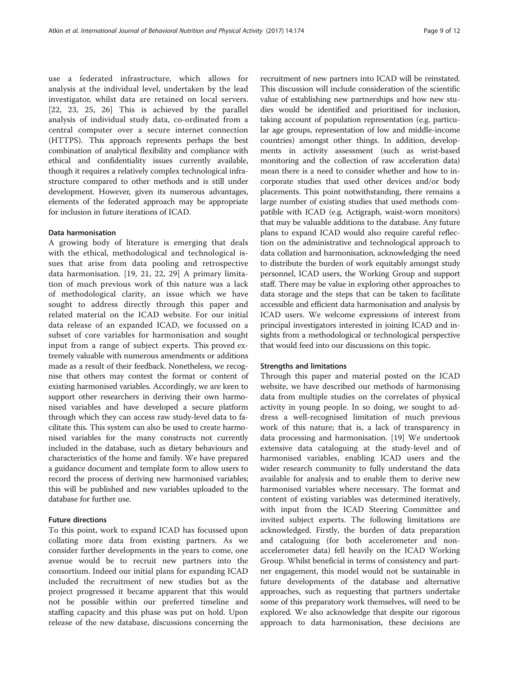use a federated infrastructure, which allows for analysis at the individual level, undertaken by the lead investigator, whilst data are retained on local servers. [[22, 23,](#page-10-0) [25](#page-11-0), [26\]](#page-11-0) This is achieved by the parallel analysis of individual study data, co-ordinated from a central computer over a secure internet connection (HTTPS). This approach represents perhaps the best combination of analytical flexibility and compliance with ethical and confidentiality issues currently available, though it requires a relatively complex technological infrastructure compared to other methods and is still under development. However, given its numerous advantages, elements of the federated approach may be appropriate for inclusion in future iterations of ICAD.

# Data harmonisation

A growing body of literature is emerging that deals with the ethical, methodological and technological issues that arise from data pooling and retrospective data harmonisation. [\[19](#page-10-0), [21, 22](#page-10-0), [29](#page-11-0)] A primary limitation of much previous work of this nature was a lack of methodological clarity, an issue which we have sought to address directly through this paper and related material on the ICAD website. For our initial data release of an expanded ICAD, we focussed on a subset of core variables for harmonisation and sought input from a range of subject experts. This proved extremely valuable with numerous amendments or additions made as a result of their feedback. Nonetheless, we recognise that others may contest the format or content of existing harmonised variables. Accordingly, we are keen to support other researchers in deriving their own harmonised variables and have developed a secure platform through which they can access raw study-level data to facilitate this. This system can also be used to create harmonised variables for the many constructs not currently included in the database, such as dietary behaviours and characteristics of the home and family. We have prepared a guidance document and template form to allow users to record the process of deriving new harmonised variables; this will be published and new variables uploaded to the database for further use.

#### Future directions

To this point, work to expand ICAD has focussed upon collating more data from existing partners. As we consider further developments in the years to come, one avenue would be to recruit new partners into the consortium. Indeed our initial plans for expanding ICAD included the recruitment of new studies but as the project progressed it became apparent that this would not be possible within our preferred timeline and staffing capacity and this phase was put on hold. Upon release of the new database, discussions concerning the

recruitment of new partners into ICAD will be reinstated. This discussion will include consideration of the scientific value of establishing new partnerships and how new studies would be identified and prioritised for inclusion, taking account of population representation (e.g. particular age groups, representation of low and middle-income countries) amongst other things. In addition, developments in activity assessment (such as wrist-based monitoring and the collection of raw acceleration data) mean there is a need to consider whether and how to incorporate studies that used other devices and/or body placements. This point notwithstanding, there remains a large number of existing studies that used methods compatible with ICAD (e.g. Actigraph, waist-worn monitors) that may be valuable additions to the database. Any future plans to expand ICAD would also require careful reflection on the administrative and technological approach to data collation and harmonisation, acknowledging the need to distribute the burden of work equitably amongst study personnel, ICAD users, the Working Group and support staff. There may be value in exploring other approaches to data storage and the steps that can be taken to facilitate accessible and efficient data harmonisation and analysis by ICAD users. We welcome expressions of interest from principal investigators interested in joining ICAD and insights from a methodological or technological perspective that would feed into our discussions on this topic.

#### Strengths and limitations

Through this paper and material posted on the ICAD website, we have described our methods of harmonising data from multiple studies on the correlates of physical activity in young people. In so doing, we sought to address a well-recognised limitation of much previous work of this nature; that is, a lack of transparency in data processing and harmonisation. [[19\]](#page-10-0) We undertook extensive data cataloguing at the study-level and of harmonised variables, enabling ICAD users and the wider research community to fully understand the data available for analysis and to enable them to derive new harmonised variables where necessary. The format and content of existing variables was determined iteratively, with input from the ICAD Steering Committee and invited subject experts. The following limitations are acknowledged. Firstly, the burden of data preparation and cataloguing (for both accelerometer and nonaccelerometer data) fell heavily on the ICAD Working Group. Whilst beneficial in terms of consistency and partner engagement, this model would not be sustainable in future developments of the database and alternative approaches, such as requesting that partners undertake some of this preparatory work themselves, will need to be explored. We also acknowledge that despite our rigorous approach to data harmonisation, these decisions are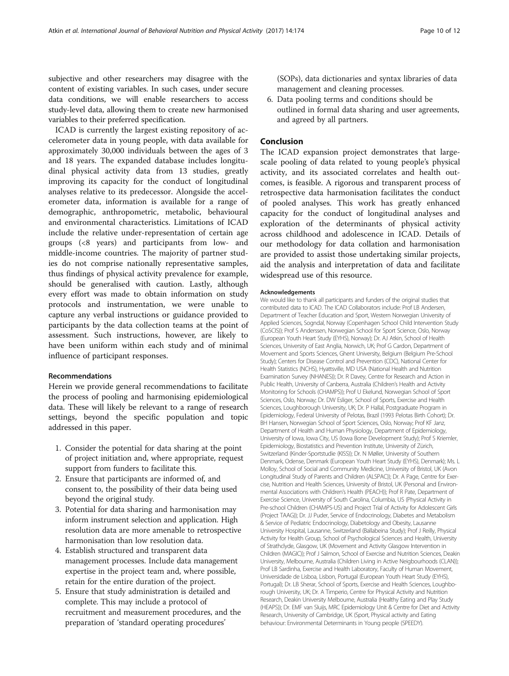subjective and other researchers may disagree with the content of existing variables. In such cases, under secure data conditions, we will enable researchers to access study-level data, allowing them to create new harmonised variables to their preferred specification.

ICAD is currently the largest existing repository of accelerometer data in young people, with data available for approximately 30,000 individuals between the ages of 3 and 18 years. The expanded database includes longitudinal physical activity data from 13 studies, greatly improving its capacity for the conduct of longitudinal analyses relative to its predecessor. Alongside the accelerometer data, information is available for a range of demographic, anthropometric, metabolic, behavioural and environmental characteristics. Limitations of ICAD include the relative under-representation of certain age groups (<8 years) and participants from low- and middle-income countries. The majority of partner studies do not comprise nationally representative samples, thus findings of physical activity prevalence for example, should be generalised with caution. Lastly, although every effort was made to obtain information on study protocols and instrumentation, we were unable to capture any verbal instructions or guidance provided to participants by the data collection teams at the point of assessment. Such instructions, however, are likely to have been uniform within each study and of minimal influence of participant responses.

#### Recommendations

Herein we provide general recommendations to facilitate the process of pooling and harmonising epidemiological data. These will likely be relevant to a range of research settings, beyond the specific population and topic addressed in this paper.

- 1. Consider the potential for data sharing at the point of project initiation and, where appropriate, request support from funders to facilitate this.
- 2. Ensure that participants are informed of, and consent to, the possibility of their data being used beyond the original study.
- 3. Potential for data sharing and harmonisation may inform instrument selection and application. High resolution data are more amenable to retrospective harmonisation than low resolution data.
- 4. Establish structured and transparent data management processes. Include data management expertise in the project team and, where possible, retain for the entire duration of the project.
- 5. Ensure that study administration is detailed and complete. This may include a protocol of recruitment and measurement procedures, and the preparation of 'standard operating procedures'

(SOPs), data dictionaries and syntax libraries of data management and cleaning processes.

6. Data pooling terms and conditions should be outlined in formal data sharing and user agreements, and agreed by all partners.

# Conclusion

The ICAD expansion project demonstrates that largescale pooling of data related to young people's physical activity, and its associated correlates and health outcomes, is feasible. A rigorous and transparent process of retrospective data harmonisation facilitates the conduct of pooled analyses. This work has greatly enhanced capacity for the conduct of longitudinal analyses and exploration of the determinants of physical activity across childhood and adolescence in ICAD. Details of our methodology for data collation and harmonisation are provided to assist those undertaking similar projects, aid the analysis and interpretation of data and facilitate widespread use of this resource.

#### Acknowledgements

We would like to thank all participants and funders of the original studies that contributed data to ICAD. The ICAD Collaborators include: Prof LB Andersen, Department of Teacher Education and Sport, Western Norwegian University of Applied Sciences, Sogndal, Norway (Copenhagen School Child Intervention Study (CoSCIS)); Prof S Anderssen, Norwegian School for Sport Science, Oslo, Norway (European Youth Heart Study (EYHS), Norway); Dr. AJ Atkin, School of Health Sciences, University of East Anglia, Norwich, UK; Prof G Cardon, Department of Movement and Sports Sciences, Ghent University, Belgium (Belgium Pre-School Study); Centers for Disease Control and Prevention (CDC), National Center for Health Statistics (NCHS), Hyattsville, MD USA (National Health and Nutrition Examination Survey (NHANES)); Dr. R Davey, Centre for Research and Action in Public Health, University of Canberra, Australia (Children's Health and Activity Monitoring for Schools (CHAMPS)); Prof U Ekelund, Norwegian School of Sport Sciences, Oslo, Norway; Dr. DW Esliger, School of Sports, Exercise and Health Sciences, Loughborough University, UK; Dr. P Hallal, Postgraduate Program in Epidemiology, Federal University of Pelotas, Brazil (1993 Pelotas Birth Cohort); Dr. BH Hansen, Norwegian School of Sport Sciences, Oslo, Norway; Prof KF Janz, Department of Health and Human Physiology, Department of Epidemiology, University of Iowa, Iowa City, US (Iowa Bone Development Study); Prof S Kriemler, Epidemiology, Biostatistics and Prevention Institute, University of Zürich, Switzerland (Kinder-Sportstudie (KISS)); Dr. N Møller, University of Southern Denmark, Odense, Denmark (European Youth Heart Study (EYHS), Denmark); Ms. L Molloy, School of Social and Community Medicine, University of Bristol, UK (Avon Longitudinal Study of Parents and Children (ALSPAC)); Dr. A Page, Centre for Exercise, Nutrition and Health Sciences, University of Bristol, UK (Personal and Environmental Associations with Children's Health (PEACH)); Prof R Pate, Department of Exercise Science, University of South Carolina, Columbia, US (Physical Activity in Pre-school Children (CHAMPS-US) and Project Trial of Activity for Adolescent Girls (Project TAAG)); Dr. JJ Puder, Service of Endocrinology, Diabetes and Metabolism & Service of Pediatric Endocrinology, Diabetology and Obesity, Lausanne University Hospital, Lausanne, Switzerland (Ballabeina Study); Prof J Reilly, Physical Activity for Health Group, School of Psychological Sciences and Health, University of Strathclyde, Glasgow, UK (Movement and Activity Glasgow Intervention in Children (MAGIC)); Prof J Salmon, School of Exercise and Nutrition Sciences, Deakin University, Melbourne, Australia (Children Living in Active Neigbourhoods (CLAN)); Prof LB Sardinha, Exercise and Health Laboratory, Faculty of Human Movement, Universidade de Lisboa, Lisbon, Portugal (European Youth Heart Study (EYHS), Portugal); Dr. LB Sherar, School of Sports, Exercise and Health Sciences, Loughborough University, UK; Dr. A Timperio, Centre for Physical Activity and Nutrition Research, Deakin University Melbourne, Australia (Healthy Eating and Play Study (HEAPS)); Dr. EMF van Sluijs, MRC Epidemiology Unit & Centre for Diet and Activity Research, University of Cambridge, UK (Sport, Physical activity and Eating behaviour: Environmental Determinants in Young people (SPEEDY).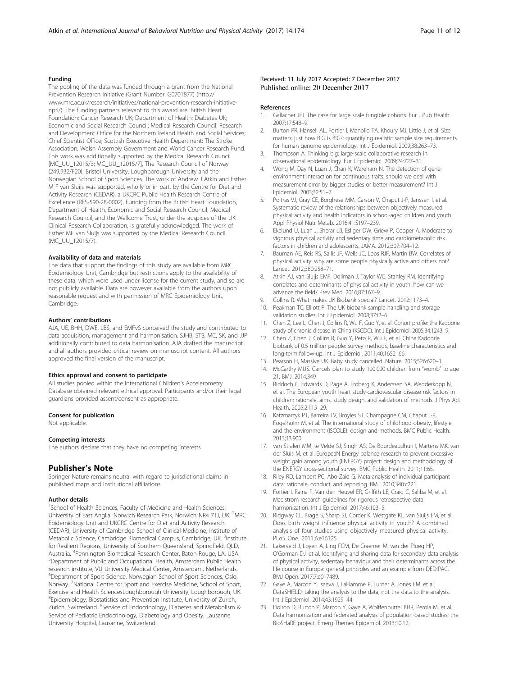#### <span id="page-10-0"></span>Funding

The pooling of the data was funded through a grant from the National Prevention Research Initiative (Grant Number: G0701877) [\(http://](http://www.mrc.ac.uk/research/initiatives/national-prevention-research-initiative-npri) [www.mrc.ac.uk/research/initiatives/national-prevention-research-initiative](http://www.mrc.ac.uk/research/initiatives/national-prevention-research-initiative-npri)[npri/](http://www.mrc.ac.uk/research/initiatives/national-prevention-research-initiative-npri)). The funding partners relevant to this award are: British Heart Foundation; Cancer Research UK; Department of Health; Diabetes UK; Economic and Social Research Council; Medical Research Council; Research and Development Office for the Northern Ireland Health and Social Services; Chief Scientist Office; Scottish Executive Health Department; The Stroke Association; Welsh Assembly Government and World Cancer Research Fund. This work was additionally supported by the Medical Research Council [MC\_UU\_12015/3; MC\_UU\_12015/7], The Research Council of Norway (249,932/F20), Bristol University, Loughborough University and the Norwegian School of Sport Sciences. The work of Andrew J Atkin and Esther M F van Sluijs was supported, wholly or in part, by the Centre for Diet and Activity Research (CEDAR), a UKCRC Public Health Research Centre of Excellence (RES-590-28-0002). Funding from the British Heart Foundation, Department of Health, Economic and Social Research Council, Medical Research Council, and the Wellcome Trust, under the auspices of the UK Clinical Research Collaboration, is gratefully acknowledged. The work of Esther MF van Sluijs was supported by the Medical Research Council (MC\_UU\_12015/7).

#### Availability of data and materials

The data that support the findings of this study are available from MRC Epidemiology Unit, Cambridge but restrictions apply to the availability of these data, which were used under license for the current study, and so are not publicly available. Data are however available from the authors upon reasonable request and with permission of MRC Epidemiology Unit, Cambridge.

#### Authors' contributions

AJA, UE, BHH, DWE, LBS, and EMFvS conceived the study and contributed to data acquisition, management and harmonisation. SJHB, STB, MC, SK, and JJP additionally contributed to data harmonisation. AJA drafted the manuscript and all authors provided critical review on manuscript content. All authors approved the final version of the manuscript.

#### Ethics approval and consent to participate

All studies pooled within the International Children's Accelerometry Database obtained relevant ethical approval. Participants and/or their legal guardians provided assent/consent as appropriate.

#### Consent for publication

Not applicable.

#### Competing interests

The authors declare that they have no competing interests.

#### Publisher's Note

Springer Nature remains neutral with regard to jurisdictional claims in published maps and institutional affiliations.

#### Author details

<sup>1</sup>School of Health Sciences, Faculty of Medicine and Health Sciences, University of East Anglia, Norwich Research Park, Norwich NR4 7TJ, UK. <sup>2</sup>MRC Epidemiology Unit and UKCRC Centre for Diet and Activity Research (CEDAR), University of Cambridge School of Clinical Medicine, Institute of Metabolic Science, Cambridge Biomedical Campus, Cambridge, UK. <sup>3</sup>Institute for Resilient Regions, University of Southern Queensland, Springfield, QLD, Australia. <sup>4</sup> Pennington Biomedical Research Center, Baton Rouge, LA, USA.<br><sup>5</sup> Department of Public and Occupational Hoalth, Amsterdam Public Hoalth Department of Public and Occupational Health, Amsterdam Public Health research institute, VU University Medical Center, Amsterdam, Netherlands. 6 Department of Sport Science, Norwegian School of Sport Sciences, Oslo, Norway. <sup>7</sup>National Centre for Sport and Exercise Medicine, School of Sport, Exercise and Health SciencesLoughborough University, Loughborough, UK. 8 Epidemiology, Biostatistics and Prevention Institute, University of Zurich, Zurich, Switzerland. <sup>9</sup>Service of Endocrinology, Diabetes and Metabolism & Service of Pediatric Endocrinology, Diabetology and Obesity, Lausanne University Hospital, Lausanne, Switzerland.

#### Received: 11 July 2017 Accepted: 7 December 2017 Published online: 20 December 2017

#### References

- 1. Gallacher JEJ. The case for large scale fungible cohorts. Eur J Pub Health. 2007;17:548–9.
- 2. Burton PR, Hansell AL, Fortier I, Manolio TA, Khoury MJ, Little J, et al. Size matters: just how BIG is BIG?: quantifying realistic sample size requirements for human genome epidemiology. Int J Epidemiol. 2009;38:263–73.
- 3. Thompson A. Thinking big: large-scale collaborative research in observational epidemiology. Eur J Epidemiol. 2009;24:727–31.
- 4. Wong M, Day N, Luan J, Chan K, Wareham N. The detection of geneenvironment interaction for continuous traits: should we deal with measurement error by bigger studies or better measurement? Int J Epidemiol. 2003;32:51–7.
- 5. Poitras VJ, Gray CE, Borghese MM, Carson V, Chaput J-P, Janssen I, et al. Systematic review of the relationships between objectively measured physical activity and health indicators in school-aged children and youth. Appl Physiol Nutr Metab. 2016;41:S197–239.
- 6. Ekelund U, Luan J, Sherar LB, Esliger DW, Griew P, Cooper A. Moderate to vigorous physical activity and sedentary time and cardiometabolic risk factors in children and adolescents. JAMA. 2012;307:704–12.
- 7. Bauman AE, Reis RS, Sallis JF, Wells JC, Loos RJF, Martin BW. Correlates of physical activity: why are some people physically active and others not? Lancet. 2012;380:258–71.
- 8. Atkin AJ, van Sluijs EMF, Dollman J, Taylor WC, Stanley RM. Identifying correlates and determinants of physical activity in youth: how can we advance the field? Prev Med. 2016;87:167–9.
- 9. Collins R. What makes UK Biobank special? Lancet. 2012:1173–4.
- 10. Peakman TC, Elliott P. The UK biobank sample handling and storage validation studies. Int J Epidemiol. 2008;37:i2–6.
- 11. Chen Z, Lee L, Chen J, Collins R, Wu F, Guo Y, et al. Cohort profile: the Kadoorie study of chronic disease in China (KSCDC). Int J Epidemiol. 2005;34:1243–9.
- 12. Chen Z, Chen J, Collins R, Guo Y, Peto R, Wu F, et al. China Kadoorie biobank of 0.5 million people: survey methods, baseline characteristics and long-term follow-up. Int J Epidemiol. 2011;40:1652–66.
- 13. Pearson H, Massive UK. Baby study cancelled. Nature. 2015;526:620–1.
- 14. McCarthy MUS. Cancels plan to study 100 000 children from "womb" to age 21. BMJ. 2014;349
- 15. Riddoch C, Edwards D, Page A, Froberg K, Anderssen SA, Wedderkopp N, et al. The European youth heart study-cardiovascular disease risk factors in children: rationale, aims, study design, and validation of methods. J Phys Act Health. 2005;2:115–29.
- 16. Katzmarzyk PT, Barreira TV, Broyles ST, Champagne CM, Chaput J-P, Fogelholm M, et al. The international study of childhood obesity, lifestyle and the environment (ISCOLE): design and methods. BMC Public Health. 2013;13:900.
- 17. van Stralen MM, te Velde SJ, Singh AS, De Bourdeaudhuij I, Martens MK, van der Sluis M, et al. EuropeaN Energy balance research to prevent excessive weight gain among youth (ENERGY) project: design and methodology of the ENERGY cross-sectional survey. BMC Public Health. 2011;11:65.
- 18. Riley RD, Lambert PC, Abo-Zaid G. Meta-analysis of individual participant data: rationale, conduct, and reporting. BMJ. 2010;340:c221.
- 19. Fortier I, Raina P, Van den Heuvel ER, Griffith LE, Craig C, Saliba M, et al. Maelstrom research guidelines for rigorous retrospective data harmonization. Int J Epidemiol. 2017;46:103–5.
- 20. Ridgway CL, Brage S, Sharp SJ, Corder K, Westgate KL, van Sluijs EM, et al. Does birth weight influence physical activity in youth? A combined analysis of four studies using objectively measured physical activity. PLoS One. 2011;6:e16125.
- 21. Lakerveld J, Loyen A, Ling FCM, De Craemer M, van der Ploeg HP, O'Gorman DJ, et al. Identifying and sharing data for secondary data analysis of physical activity, sedentary behaviour and their determinants across the life course in Europe: general principles and an example from DEDIPAC. BMJ Open. 2017;7:e017489.
- 22. Gaye A, Marcon Y, Isaeva J, LaFlamme P, Turner A, Jones EM, et al. DataSHIELD: taking the analysis to the data, not the data to the analysis. Int J Epidemiol. 2014;43:1929–44.
- 23. Doiron D, Burton P, Marcon Y, Gaye A, Wolffenbuttel BHR, Perola M, et al. Data harmonization and federated analysis of population-based studies: the BioSHaRE project. Emerg Themes Epidemiol. 2013;10:12.